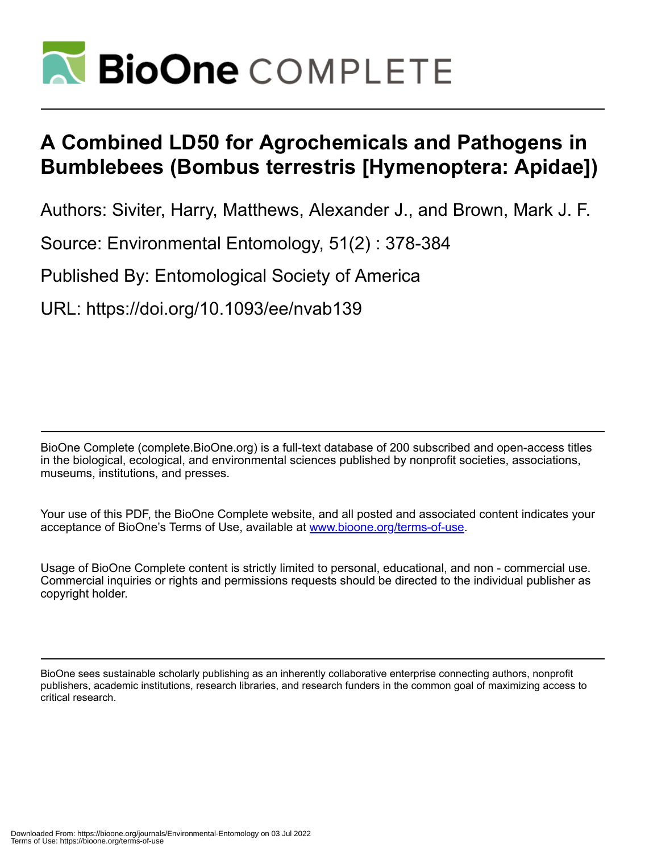

# **A Combined LD50 for Agrochemicals and Pathogens in Bumblebees (Bombus terrestris [Hymenoptera: Apidae])**

Authors: Siviter, Harry, Matthews, Alexander J., and Brown, Mark J. F.

Source: Environmental Entomology, 51(2) : 378-384

Published By: Entomological Society of America

URL: https://doi.org/10.1093/ee/nvab139

BioOne Complete (complete.BioOne.org) is a full-text database of 200 subscribed and open-access titles in the biological, ecological, and environmental sciences published by nonprofit societies, associations, museums, institutions, and presses.

Your use of this PDF, the BioOne Complete website, and all posted and associated content indicates your acceptance of BioOne's Terms of Use, available at www.bioone.org/terms-of-use.

Usage of BioOne Complete content is strictly limited to personal, educational, and non - commercial use. Commercial inquiries or rights and permissions requests should be directed to the individual publisher as copyright holder.

BioOne sees sustainable scholarly publishing as an inherently collaborative enterprise connecting authors, nonprofit publishers, academic institutions, research libraries, and research funders in the common goal of maximizing access to critical research.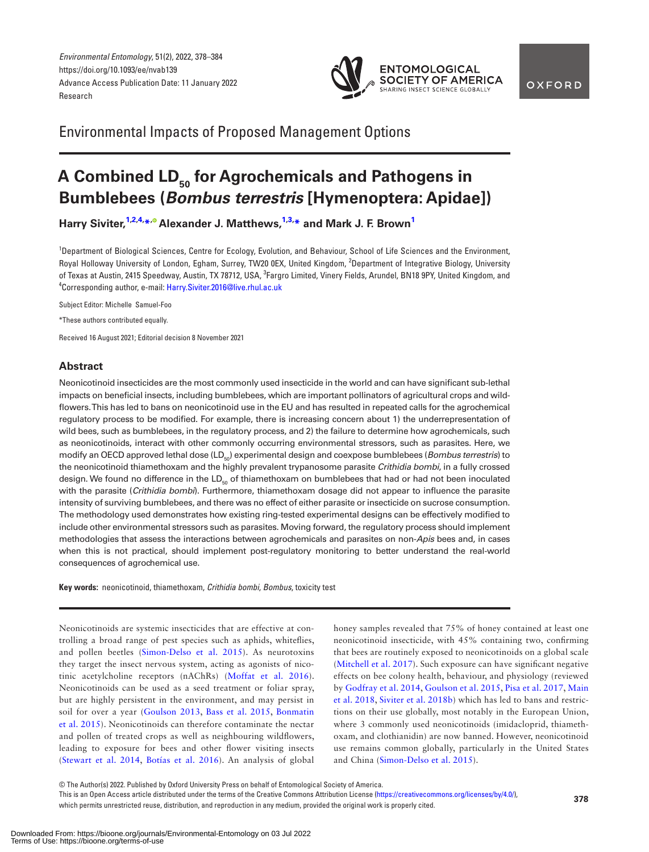*Environmental Entomology*, 51(2), 2022, 378–384 https://doi.org/10.1093/ee/nvab139 Advance Access Publication Date: 11 January 2022 Research



Environmental Impacts of Proposed Management Options

## A Combined LD<sub>50</sub> for Agrochemicals and Pathogens in **Bumblebees (***Bombus terrestris* **[Hymenoptera: Apidae])**

**Harry Siviter[,1](#page-1-0)[,2,](#page-1-1)[4,](#page-1-2) [\\*](#page-1-3)[, A](https://orcid.org/0000-0003-1088-7701)lexander J. Matthews,[1](#page-1-0)[,3](#page-1-4), [\\*](#page-1-3) and Mark J. F. Brow[n1](#page-1-0)**

<span id="page-1-4"></span><span id="page-1-1"></span><span id="page-1-0"></span><sup>1</sup>Department of Biological Sciences, Centre for Ecology, Evolution, and Behaviour, School of Life Sciences and the Environment, Royal Holloway University of London, Egham, Surrey, TW20 0EX, United Kingdom, <sup>2</sup>Department of Integrative Biology, University of Texas at Austin, 2415 Speedway, Austin, TX 78712, USA, <sup>3</sup>Fargro Limited, Vinery Fields, Arundel, BN18 9PY, United Kingdom, and<br><sup>4</sup>Corresponding author, e-mail: Harry Siviter 2016@live rhul as uk Corresponding author, e-mail: [Harry.Siviter.2016@live.rhul.ac.uk](mailto:Harry.Siviter.2016@live.rhul.ac.uk?subject=)

<span id="page-1-2"></span>Subject Editor: Michelle Samuel-Foo

<span id="page-1-3"></span>\*These authors contributed equally.

Received 16 August 2021; Editorial decision 8 November 2021

## **Abstract**

Neonicotinoid insecticides are the most commonly used insecticide in the world and can have significant sub-lethal impacts on beneficial insects, including bumblebees, which are important pollinators of agricultural crops and wildflowers. This has led to bans on neonicotinoid use in the EU and has resulted in repeated calls for the agrochemical regulatory process to be modified. For example, there is increasing concern about 1) the underrepresentation of wild bees, such as bumblebees, in the regulatory process, and 2) the failure to determine how agrochemicals, such as neonicotinoids, interact with other commonly occurring environmental stressors, such as parasites. Here, we modify an OECD approved lethal dose (LD<sub>50</sub>) experimental design and coexpose bumblebees (*Bombus terrestris*) to the neonicotinoid thiamethoxam and the highly prevalent trypanosome parasite *Crithidia bombi*, in a fully crossed design. We found no difference in the LD<sub>50</sub> of thiamethoxam on bumblebees that had or had not been inoculated with the parasite (*Crithidia bombi*). Furthermore, thiamethoxam dosage did not appear to influence the parasite intensity of surviving bumblebees, and there was no effect of either parasite or insecticide on sucrose consumption. The methodology used demonstrates how existing ring-tested experimental designs can be effectively modified to include other environmental stressors such as parasites. Moving forward, the regulatory process should implement methodologies that assess the interactions between agrochemicals and parasites on non-*Apis* bees and, in cases when this is not practical, should implement post-regulatory monitoring to better understand the real-world consequences of agrochemical use.

**Key words:** neonicotinoid, thiamethoxam, *Crithidia bombi*, *Bombus*, toxicity test

Neonicotinoids are systemic insecticides that are effective at controlling a broad range of pest species such as aphids, whiteflies, and pollen beetles [\(Simon-Delso et al. 2015\)](#page-6-0). As neurotoxins they target the insect nervous system, acting as agonists of nicotinic acetylcholine receptors (nAChRs) ([Moffat et al. 2016](#page-6-1)). Neonicotinoids can be used as a seed treatment or foliar spray, but are highly persistent in the environment, and may persist in soil for over a year ([Goulson 2013,](#page-6-2) [Bass et al. 2015](#page-5-0), [Bonmatin](#page-5-1) [et al. 2015](#page-5-1)). Neonicotinoids can therefore contaminate the nectar and pollen of treated crops as well as neighbouring wildflowers, leading to exposure for bees and other flower visiting insects ([Stewart et al. 2014,](#page-7-0) [Botías et al. 2016\)](#page-5-2). An analysis of global honey samples revealed that 75% of honey contained at least one neonicotinoid insecticide, with 45% containing two, confirming that bees are routinely exposed to neonicotinoids on a global scale ([Mitchell et al. 2017\)](#page-6-3). Such exposure can have significant negative effects on bee colony health, behaviour, and physiology (reviewed by [Godfray et al. 2014,](#page-6-4) [Goulson et al. 2015](#page-6-5), [Pisa et al. 2017](#page-6-6), [Main](#page-6-7) [et al. 2018,](#page-6-7) [Siviter et al. 2018b\)](#page-6-8) which has led to bans and restrictions on their use globally, most notably in the European Union, where 3 commonly used neonicotinoids (imidacloprid, thiamethoxam, and clothianidin) are now banned. However, neonicotinoid use remains common globally, particularly in the United States and China [\(Simon-Delso et al. 2015](#page-6-0)).

**<sup>378</sup>** This is an Open Access article distributed under the terms of the Creative Commons Attribution License ([https://creativecommons.org/licenses/by/4.0/\)](https://creativecommons.org/licenses/by/4.0/), which permits unrestricted reuse, distribution, and reproduction in any medium, provided the original work is properly cited.

<sup>©</sup> The Author(s) 2022. Published by Oxford University Press on behalf of Entomological Society of America.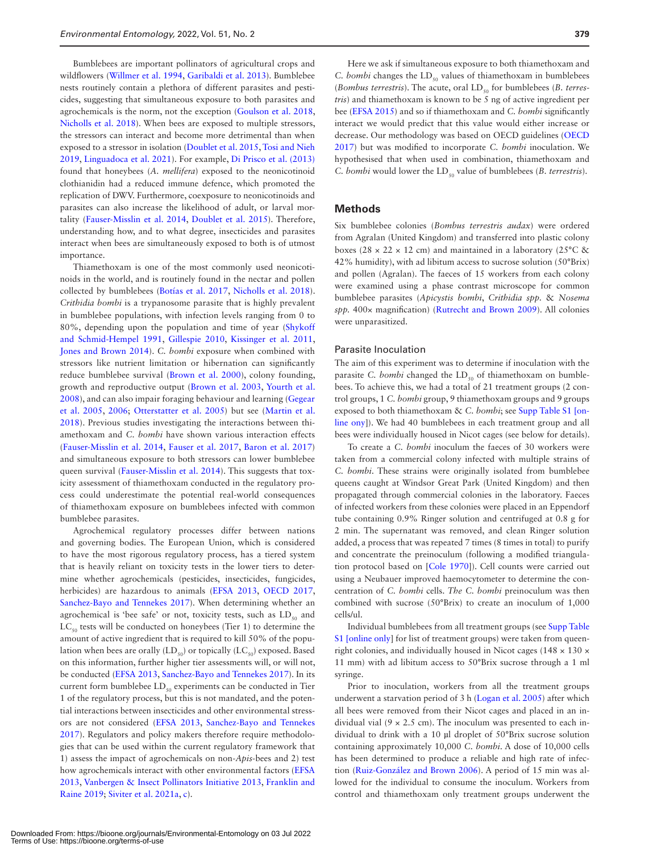Bumblebees are important pollinators of agricultural crops and wildflowers [\(Willmer et al. 1994,](#page-7-1) [Garibaldi et al. 2013](#page-6-9)). Bumblebee nests routinely contain a plethora of different parasites and pesticides, suggesting that simultaneous exposure to both parasites and agrochemicals is the norm, not the exception ([Goulson et al. 2018](#page-6-10), [Nicholls et al. 2018\)](#page-6-11). When bees are exposed to multiple stressors, the stressors can interact and become more detrimental than when exposed to a stressor in isolation [\(Doublet et al. 2015](#page-6-12), [Tosi and Nieh](#page-7-2) [2019,](#page-7-2) [Linguadoca et al. 2021](#page-6-13)). For example, [Di Prisco et al. \(2013\)](#page-6-14) found that honeybees (*A. mellifera*) exposed to the neonicotinoid clothianidin had a reduced immune defence, which promoted the replication of DWV. Furthermore, coexposure to neonicotinoids and parasites can also increase the likelihood of adult, or larval mortality ([Fauser-Misslin et al. 2014,](#page-6-15) [Doublet et al. 2015\)](#page-6-12). Therefore, understanding how, and to what degree, insecticides and parasites interact when bees are simultaneously exposed to both is of utmost importance.

Thiamethoxam is one of the most commonly used neonicotinoids in the world, and is routinely found in the nectar and pollen collected by bumblebees [\(Botías et al. 2017](#page-5-3), [Nicholls et al. 2018](#page-6-11)). *Crithidia bombi* is a trypanosome parasite that is highly prevalent in bumblebee populations, with infection levels ranging from 0 to 80%, depending upon the population and time of year [\(Shykoff](#page-6-16) [and Schmid-Hempel 1991,](#page-6-16) [Gillespie 2010](#page-6-17), [Kissinger et al. 2011](#page-6-18), [Jones and Brown 2014\)](#page-6-19). *C. bombi* exposure when combined with stressors like nutrient limitation or hibernation can significantly reduce bumblebee survival ([Brown et al. 2000](#page-5-4)), colony founding, growth and reproductive output [\(Brown et al. 2003,](#page-5-5) [Yourth et al.](#page-7-3) [2008](#page-7-3)), and can also impair foraging behaviour and learning [\(Gegear](#page-6-20) [et al. 2005](#page-6-20), [2006](#page-6-21); [Otterstatter et al. 2005](#page-6-22)) but see [\(Martin et al.](#page-6-23) [2018](#page-6-23)). Previous studies investigating the interactions between thiamethoxam and *C. bombi* have shown various interaction effects ([Fauser-Misslin et al. 2014,](#page-6-15) [Fauser et al. 2017](#page-6-24), [Baron et al. 2017](#page-5-6)) and simultaneous exposure to both stressors can lower bumblebee queen survival [\(Fauser-Misslin et al. 2014](#page-6-15)). This suggests that toxicity assessment of thiamethoxam conducted in the regulatory process could underestimate the potential real-world consequences of thiamethoxam exposure on bumblebees infected with common bumblebee parasites.

Agrochemical regulatory processes differ between nations and governing bodies. The European Union, which is considered to have the most rigorous regulatory process, has a tiered system that is heavily reliant on toxicity tests in the lower tiers to determine whether agrochemicals (pesticides, insecticides, fungicides, herbicides) are hazardous to animals [\(EFSA 2013,](#page-6-25) [OECD 2017](#page-6-26), [Sanchez-Bayo and Tennekes 2017](#page-6-27)). When determining whether an agrochemical is 'bee safe' or not, toxicity tests, such as  $LD_{50}$  and  $LC_{50}$  tests will be conducted on honeybees (Tier 1) to determine the amount of active ingredient that is required to kill 50% of the population when bees are orally  $(LD_{50})$  or topically  $(LC_{50})$  exposed. Based on this information, further higher tier assessments will, or will not, be conducted ([EFSA 2013,](#page-6-25) [Sanchez-Bayo and Tennekes 2017](#page-6-27)). In its current form bumblebee  $LD_{50}$  experiments can be conducted in Tier 1 of the regulatory process, but this is not mandated, and the potential interactions between insecticides and other environmental stressors are not considered [\(EFSA 2013,](#page-6-25) [Sanchez-Bayo and Tennekes](#page-6-27) [2017\)](#page-6-27). Regulators and policy makers therefore require methodologies that can be used within the current regulatory framework that 1) assess the impact of agrochemicals on non-*Apis*-bees and 2) test how agrochemicals interact with other environmental factors [\(EFSA](#page-6-25) [2013,](#page-6-25) [Vanbergen & Insect Pollinators Initiative 2013,](#page-7-4) [Franklin and](#page-6-28) [Raine 2019](#page-6-28); [Siviter et al. 2021a](#page-7-5), [c\)](#page-7-6).

Here we ask if simultaneous exposure to both thiamethoxam and *C. bombi* changes the LD<sub>50</sub> values of thiamethoxam in bumblebees (*Bombus terrestris*). The acute, oral LD<sub>50</sub> for bumblebees (*B. terrestris*) and thiamethoxam is known to be 5 ng of active ingredient per bee [\(EFSA 2015](#page-6-29)) and so if thiamethoxam and *C. bombi* significantly interact we would predict that this value would either increase or decrease. Our methodology was based on OECD guidelines ([OECD](#page-6-26) [2017\)](#page-6-26) but was modified to incorporate *C. bombi* inoculation. We hypothesised that when used in combination, thiamethoxam and *C. bombi* would lower the LD<sub>50</sub> value of bumblebees (*B. terrestris*).

## **Methods**

Six bumblebee colonies (*Bombus terrestris audax*) were ordered from Agralan (United Kingdom) and transferred into plastic colony boxes (28  $\times$  22  $\times$  12 cm) and maintained in a laboratory (25 $\degree$ C & 42% humidity), with ad libitum access to sucrose solution (50°Brix) and pollen (Agralan). The faeces of 15 workers from each colony were examined using a phase contrast microscope for common bumblebee parasites (*Apicystis bombi*, *Crithidia spp.* & *Nosema spp.* 400× magnification) [\(Rutrecht and Brown 2009\)](#page-6-30). All colonies were unparasitized.

## Parasite Inoculation

The aim of this experiment was to determine if inoculation with the parasite *C. bombi* changed the LD<sub>50</sub> of thiamethoxam on bumblebees. To achieve this, we had a total of 21 treatment groups (2 control groups, 1 *C. bombi* group, 9 thiamethoxam groups and 9 groups exposed to both thiamethoxam & *C. bombi*; see [Supp Table S1 \[on](http://academic.oup.com/ee/article-lookup/doi/10.1093/ee/nvab139#supplementary-data)[line ony](http://academic.oup.com/ee/article-lookup/doi/10.1093/ee/nvab139#supplementary-data)]). We had 40 bumblebees in each treatment group and all bees were individually housed in Nicot cages (see below for details).

To create a *C. bombi* inoculum the faeces of 30 workers were taken from a commercial colony infected with multiple strains of *C. bombi*. These strains were originally isolated from bumblebee queens caught at Windsor Great Park (United Kingdom) and then propagated through commercial colonies in the laboratory. Faeces of infected workers from these colonies were placed in an Eppendorf tube containing 0.9% Ringer solution and centrifuged at 0.8 g for 2 min. The supernatant was removed, and clean Ringer solution added, a process that was repeated 7 times (8 times in total) to purify and concentrate the preinoculum (following a modified triangulation protocol based on [\[Cole 1970](#page-6-31)]). Cell counts were carried out using a Neubauer improved haemocytometer to determine the concentration of *C. bombi* cells. *The C. bombi* preinoculum was then combined with sucrose (50°Brix) to create an inoculum of 1,000 cells/ul.

Individual bumblebees from all treatment groups (see [Supp Table](http://academic.oup.com/ee/article-lookup/doi/10.1093/ee/nvab139#supplementary-data) [S1 \[online only](http://academic.oup.com/ee/article-lookup/doi/10.1093/ee/nvab139#supplementary-data)] for list of treatment groups) were taken from queenright colonies, and individually housed in Nicot cages (148  $\times$  130  $\times$ 11 mm) with ad libitum access to 50°Brix sucrose through a 1 ml syringe.

Prior to inoculation, workers from all the treatment groups underwent a starvation period of 3 h ([Logan et al. 2005\)](#page-6-32) after which all bees were removed from their Nicot cages and placed in an individual vial  $(9 \times 2.5 \text{ cm})$ . The inoculum was presented to each individual to drink with a 10 µl droplet of 50°Brix sucrose solution containing approximately 10,000 *C. bombi*. A dose of 10,000 cells has been determined to produce a reliable and high rate of infection [\(Ruiz-González and Brown 2006\)](#page-6-33). A period of 15 min was allowed for the individual to consume the inoculum. Workers from control and thiamethoxam only treatment groups underwent the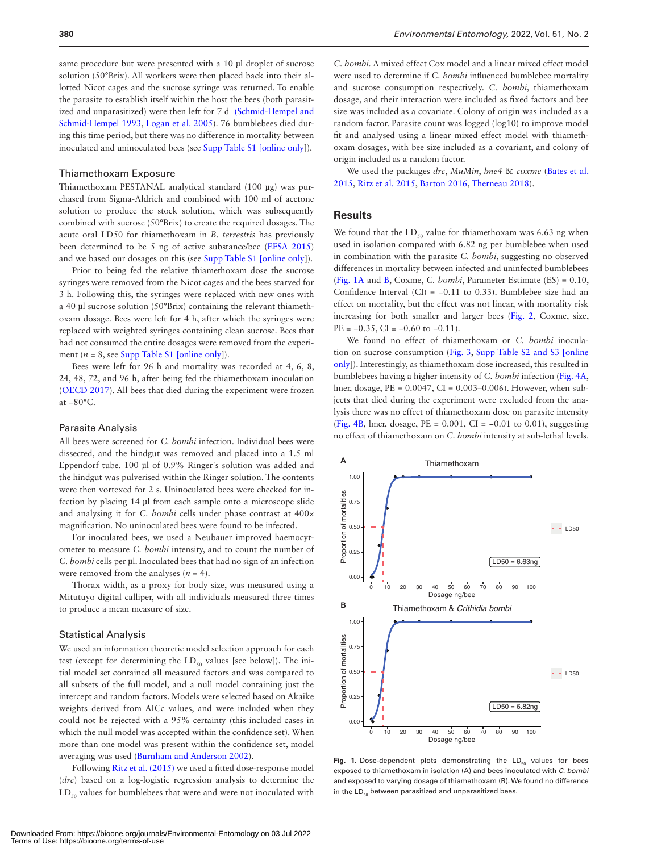same procedure but were presented with a 10 µl droplet of sucrose solution (50°Brix). All workers were then placed back into their allotted Nicot cages and the sucrose syringe was returned. To enable the parasite to establish itself within the host the bees (both parasitized and unparasitized) were then left for 7 d [\(Schmid-Hempel and](#page-6-34) [Schmid-Hempel 1993,](#page-6-34) [Logan et al. 2005](#page-6-32)). 76 bumblebees died during this time period, but there was no difference in mortality between inoculated and uninoculated bees (see [Supp Table S1 \[online only](http://academic.oup.com/ee/article-lookup/doi/10.1093/ee/nvab139#supplementary-data)]).

## Thiamethoxam Exposure

Thiamethoxam PESTANAL analytical standard (100 µg) was purchased from Sigma-Aldrich and combined with 100 ml of acetone solution to produce the stock solution, which was subsequently combined with sucrose (50°Brix) to create the required dosages. The acute oral LD50 for thiamethoxam in *B. terrestris* has previously been determined to be 5 ng of active substance/bee [\(EFSA 2015\)](#page-6-29) and we based our dosages on this (see [Supp Table S1 \[online only\]](http://academic.oup.com/ee/article-lookup/doi/10.1093/ee/nvab139#supplementary-data)).

Prior to being fed the relative thiamethoxam dose the sucrose syringes were removed from the Nicot cages and the bees starved for 3 h. Following this, the syringes were replaced with new ones with a 40 µl sucrose solution (50°Brix) containing the relevant thiamethoxam dosage. Bees were left for 4 h, after which the syringes were replaced with weighted syringes containing clean sucrose. Bees that had not consumed the entire dosages were removed from the experiment  $(n = 8$ , see [Supp Table S1 \[online only](http://academic.oup.com/ee/article-lookup/doi/10.1093/ee/nvab139#supplementary-data)]).

Bees were left for 96 h and mortality was recorded at 4, 6, 8, 24, 48, 72, and 96 h, after being fed the thiamethoxam inoculation ([OECD 2017](#page-6-26)). All bees that died during the experiment were frozen at −80°C.

#### Parasite Analysis

All bees were screened for *C. bombi* infection. Individual bees were dissected, and the hindgut was removed and placed into a 1.5 ml Eppendorf tube. 100 µl of 0.9% Ringer's solution was added and the hindgut was pulverised within the Ringer solution. The contents were then vortexed for 2 s. Uninoculated bees were checked for infection by placing 14 µl from each sample onto a microscope slide and analysing it for *C. bombi* cells under phase contrast at 400× magnification. No uninoculated bees were found to be infected.

For inoculated bees, we used a Neubauer improved haemocytometer to measure *C. bombi* intensity, and to count the number of *C. bombi* cells per µl. Inoculated bees that had no sign of an infection were removed from the analyses  $(n = 4)$ .

Thorax width, as a proxy for body size, was measured using a Mitutuyo digital calliper, with all individuals measured three times to produce a mean measure of size.

#### Statistical Analysis

We used an information theoretic model selection approach for each test (except for determining the  $LD_{50}$  values [see below]). The initial model set contained all measured factors and was compared to all subsets of the full model, and a null model containing just the intercept and random factors. Models were selected based on Akaike weights derived from AICc values, and were included when they could not be rejected with a 95% certainty (this included cases in which the null model was accepted within the confidence set). When more than one model was present within the confidence set, model averaging was used ([Burnham and Anderson 2002](#page-5-7)).

Following [Ritz et al. \(2015\)](#page-6-35) we used a fitted dose-response model (*drc*) based on a log-logistic regression analysis to determine the  $LD_{50}$  values for bumblebees that were and were not inoculated with

*C. bombi.* A mixed effect Cox model and a linear mixed effect model were used to determine if *C. bombi* influenced bumblebee mortality and sucrose consumption respectively. *C. bombi*, thiamethoxam dosage, and their interaction were included as fixed factors and bee size was included as a covariate. Colony of origin was included as a random factor. Parasite count was logged (log10) to improve model fit and analysed using a linear mixed effect model with thiamethoxam dosages, with bee size included as a covariant, and colony of origin included as a random factor.

We used the packages *drc*, *MuMin*, *lme4* & *coxme* [\(Bates et al.](#page-5-8) [2015](#page-5-8), [Ritz et al. 2015](#page-6-35), [Barton 2016,](#page-5-9) [Therneau 2018\)](#page-7-7).

#### **Results**

We found that the  $LD_{50}$  value for thiamethoxam was 6.63 ng when used in isolation compared with 6.82 ng per bumblebee when used in combination with the parasite *C. bombi*, suggesting no observed differences in mortality between infected and uninfected bumblebees ([Fig. 1A](#page-3-0) and [B](#page-3-0), Coxme, *C. bombi*, Parameter Estimate (ES) = 0.10, Confidence Interval (CI) =  $-0.11$  to 0.33). Bumblebee size had an effect on mortality, but the effect was not linear, with mortality risk increasing for both smaller and larger bees ([Fig. 2,](#page-4-0) Coxme, size,  $PE = -0.35$ ,  $CI = -0.60$  to  $-0.11$ ).

We found no effect of thiamethoxam or *C. bombi* inoculation on sucrose consumption ([Fig. 3](#page-4-1), [Supp Table S2 and S3 \[online](http://academic.oup.com/ee/article-lookup/doi/10.1093/ee/nvab139#supplementary-data) [only](http://academic.oup.com/ee/article-lookup/doi/10.1093/ee/nvab139#supplementary-data)]). Interestingly, as thiamethoxam dose increased, this resulted in bumblebees having a higher intensity of *C. bombi* infection [\(Fig. 4A](#page-4-2), lmer, dosage, PE = 0.0047, CI = 0.003–0.006). However, when subjects that died during the experiment were excluded from the analysis there was no effect of thiamethoxam dose on parasite intensity ([Fig. 4B,](#page-4-2) lmer, dosage,  $PE = 0.001$ ,  $CI = -0.01$  to 0.01), suggesting no effect of thiamethoxam on *C. bombi* intensity at sub-lethal levels.



<span id="page-3-0"></span>Fig. 1. Dose-dependent plots demonstrating the LD<sub>50</sub> values for bees exposed to thiamethoxam in isolation (A) and bees inoculated with *C. bombi* and exposed to varying dosage of thiamethoxam (B). We found no difference in the  $LD_{50}$  between parasitized and unparasitized bees.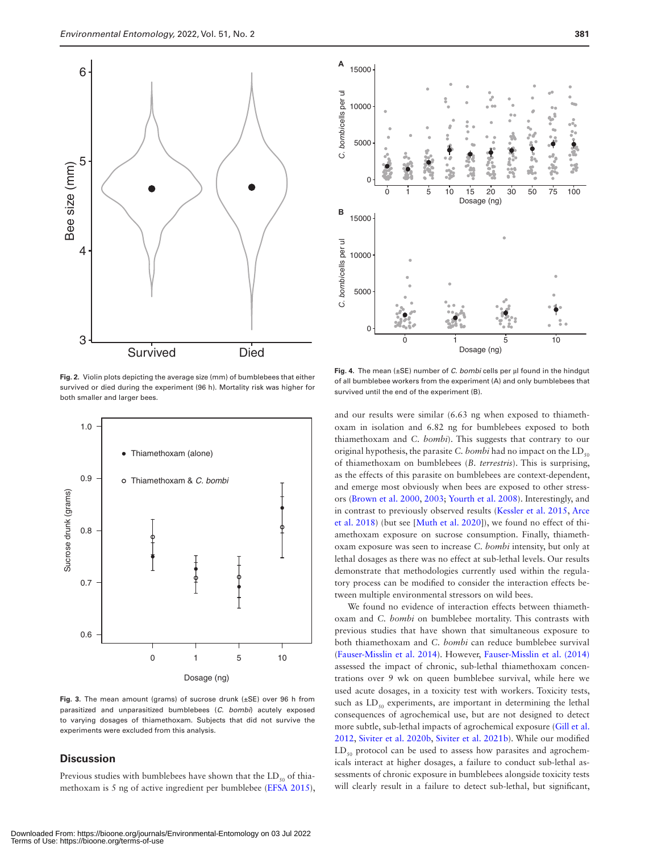

<span id="page-4-0"></span>**Fig. 2.** Violin plots depicting the average size (mm) of bumblebees that either survived or died during the experiment (96 h). Mortality risk was higher for both smaller and larger bees.



<span id="page-4-1"></span>**Fig. 3.** The mean amount (grams) of sucrose drunk (±SE) over 96 h from parasitized and unparasitized bumblebees (*C. bombi*) acutely exposed to varying dosages of thiamethoxam. Subjects that did not survive the experiments were excluded from this analysis.

## **Discussion**

Previous studies with bumblebees have shown that the  $LD_{so}$  of thiamethoxam is 5 ng of active ingredient per bumblebee [\(EFSA 2015](#page-6-29)),



<span id="page-4-2"></span>**Fig. 4.** The mean (±SE) number of *C. bombi* cells per µl found in the hindgut of all bumblebee workers from the experiment (A) and only bumblebees that survived until the end of the experiment (B).

and our results were similar (6.63 ng when exposed to thiamethoxam in isolation and 6.82 ng for bumblebees exposed to both thiamethoxam and *C. bombi*). This suggests that contrary to our original hypothesis, the parasite *C. bombi* had no impact on the  $LD_{50}$ of thiamethoxam on bumblebees (*B. terrestris*). This is surprising, as the effects of this parasite on bumblebees are context-dependent, and emerge most obviously when bees are exposed to other stressors ([Brown et al. 2000](#page-5-4), [2003](#page-5-5); [Yourth et al. 2008](#page-7-3)). Interestingly, and in contrast to previously observed results [\(Kessler et al. 2015,](#page-6-36) [Arce](#page-5-10) [et al. 2018](#page-5-10)) (but see [[Muth et al. 2020](#page-6-37)]), we found no effect of thiamethoxam exposure on sucrose consumption. Finally, thiamethoxam exposure was seen to increase *C. bombi* intensity, but only at lethal dosages as there was no effect at sub-lethal levels. Our results demonstrate that methodologies currently used within the regulatory process can be modified to consider the interaction effects between multiple environmental stressors on wild bees.

We found no evidence of interaction effects between thiamethoxam and *C. bombi* on bumblebee mortality. This contrasts with previous studies that have shown that simultaneous exposure to both thiamethoxam and *C. bombi* can reduce bumblebee survival ([Fauser-Misslin et al. 2014](#page-6-15)). However, [Fauser-Misslin et al. \(2014\)](#page-6-15) assessed the impact of chronic, sub-lethal thiamethoxam concentrations over 9 wk on queen bumblebee survival, while here we used acute dosages, in a toxicity test with workers. Toxicity tests, such as  $LD_{50}$  experiments, are important in determining the lethal consequences of agrochemical use, but are not designed to detect more subtle, sub-lethal impacts of agrochemical exposure [\(Gill et al.](#page-6-38) [2012,](#page-6-38) [Siviter et al. 2020b,](#page-7-8) [Siviter et al. 2021b](#page-7-9)). While our modified  $LD_{50}$  protocol can be used to assess how parasites and agrochemicals interact at higher dosages, a failure to conduct sub-lethal assessments of chronic exposure in bumblebees alongside toxicity tests will clearly result in a failure to detect sub-lethal, but significant,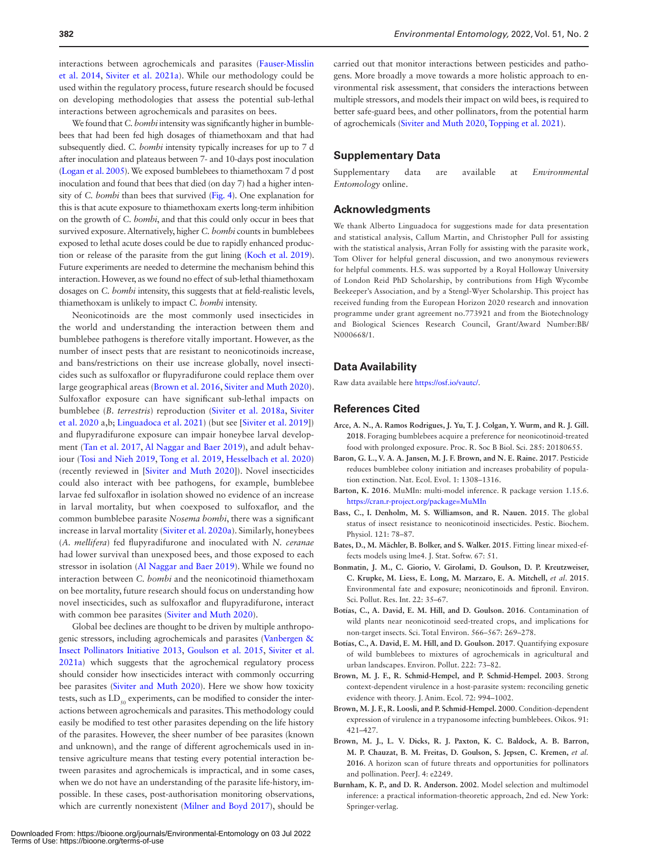interactions between agrochemicals and parasites ([Fauser-Misslin](#page-6-15) [et al. 2014](#page-6-15), [Siviter et al. 2021a](#page-7-5)). While our methodology could be used within the regulatory process, future research should be focused on developing methodologies that assess the potential sub-lethal interactions between agrochemicals and parasites on bees.

We found that *C. bombi* intensity was significantly higher in bumblebees that had been fed high dosages of thiamethoxam and that had subsequently died. *C. bombi* intensity typically increases for up to 7 d after inoculation and plateaus between 7- and 10-days post inoculation ([Logan et al. 2005](#page-6-32)). We exposed bumblebees to thiamethoxam 7 d post inoculation and found that bees that died (on day 7) had a higher intensity of *C. bombi* than bees that survived [\(Fig. 4](#page-4-2)). One explanation for this is that acute exposure to thiamethoxam exerts long-term inhibition on the growth of *C. bombi*, and that this could only occur in bees that survived exposure. Alternatively, higher *C. bombi* counts in bumblebees exposed to lethal acute doses could be due to rapidly enhanced production or release of the parasite from the gut lining ([Koch et al. 2019\)](#page-6-39). Future experiments are needed to determine the mechanism behind this interaction. However, as we found no effect of sub-lethal thiamethoxam dosages on *C. bombi* intensity, this suggests that at field-realistic levels, thiamethoxam is unlikely to impact *C. bombi* intensity.

Neonicotinoids are the most commonly used insecticides in the world and understanding the interaction between them and bumblebee pathogens is therefore vitally important. However, as the number of insect pests that are resistant to neonicotinoids increase, and bans/restrictions on their use increase globally, novel insecticides such as sulfoxaflor or flupyradifurone could replace them over large geographical areas [\(Brown et al. 2016](#page-5-11), [Siviter and Muth 2020\)](#page-7-10). Sulfoxaflor exposure can have significant sub-lethal impacts on bumblebee (*B. terrestris*) reproduction [\(Siviter et al. 2018a](#page-6-40), [Siviter](#page-7-8) [et al. 2020 a](#page-7-8),b; [Linguadoca et al. 2021\)](#page-6-13) (but see [[Siviter et al. 2019\]](#page-7-11)) and flupyradifurone exposure can impair honeybee larval development ([Tan et al. 2017,](#page-7-12) [Al Naggar and Baer 2019\)](#page-6-41), and adult behaviour [\(Tosi and Nieh 2019,](#page-7-2) [Tong et al. 2019](#page-7-13), [Hesselbach et al. 2020\)](#page-6-42) (recently reviewed in [\[Siviter and Muth 2020](#page-7-10)]). Novel insecticides could also interact with bee pathogens, for example, bumblebee larvae fed sulfoxaflor in isolation showed no evidence of an increase in larval mortality, but when coexposed to sulfoxaflor, and the common bumblebee parasite *Nosema bombi*, there was a significant increase in larval mortality ([Siviter et al. 2020a\)](#page-7-14). Similarly, honeybees (*A. mellifera*) fed flupyradifurone and inoculated with *N. ceranae* had lower survival than unexposed bees, and those exposed to each stressor in isolation [\(Al Naggar and Baer 2019](#page-6-41)). While we found no interaction between *C. bombi* and the neonicotinoid thiamethoxam on bee mortality, future research should focus on understanding how novel insecticides, such as sulfoxaflor and flupyradifurone, interact with common bee parasites [\(Siviter and Muth 2020\)](#page-7-10).

Global bee declines are thought to be driven by multiple anthropogenic stressors, including agrochemicals and parasites [\(Vanbergen &](#page-7-4) [Insect Pollinators Initiative 2013,](#page-7-4) [Goulson et al. 2015,](#page-6-5) [Siviter et al.](#page-7-5) [2021a\)](#page-7-5) which suggests that the agrochemical regulatory process should consider how insecticides interact with commonly occurring bee parasites ([Siviter and Muth 2020\)](#page-7-10). Here we show how toxicity tests, such as  $LD_{50}$  experiments, can be modified to consider the interactions between agrochemicals and parasites. This methodology could easily be modified to test other parasites depending on the life history of the parasites. However, the sheer number of bee parasites (known and unknown), and the range of different agrochemicals used in intensive agriculture means that testing every potential interaction between parasites and agrochemicals is impractical, and in some cases, when we do not have an understanding of the parasite life-history, impossible. In these cases, post-authorisation monitoring observations, which are currently nonexistent [\(Milner and Boyd 2017\)](#page-6-43), should be

carried out that monitor interactions between pesticides and pathogens. More broadly a move towards a more holistic approach to environmental risk assessment, that considers the interactions between multiple stressors, and models their impact on wild bees, is required to better safe-guard bees, and other pollinators, from the potential harm of agrochemicals ([Siviter and Muth 2020,](#page-7-10) [Topping et al. 2021](#page-7-15)).

#### **Supplementary Data**

Supplementary data are available at *Environmental Entomology* online.

## **Acknowledgments**

We thank Alberto Linguadoca for suggestions made for data presentation and statistical analysis, Callum Martin, and Christopher Pull for assisting with the statistical analysis, Arran Folly for assisting with the parasite work, Tom Oliver for helpful general discussion, and two anonymous reviewers for helpful comments. H.S. was supported by a Royal Holloway University of London Reid PhD Scholarship, by contributions from High Wycombe Beekeeper's Association, and by a Stengl-Wyer Scholarship. This project has received funding from the European Horizon 2020 research and innovation programme under grant agreement no.773921 and from the Biotechnology and Biological Sciences Research Council, Grant/Award Number:BB/ N000668/1.

## **Data Availability**

Raw data available here [https://osf.io/vautc/.](https://osf.io/vautc/)

## **References Cited**

- <span id="page-5-10"></span>**Arce, A. N., A. Ramos Rodrigues, J. Yu, T. J. Colgan, Y. Wurm, and R. J. Gill. 2018**. Foraging bumblebees acquire a preference for neonicotinoid-treated food with prolonged exposure. Proc. R. Soc B Biol. Sci. 285: 20180655.
- <span id="page-5-6"></span>**Baron, G. L., V. A. A. Jansen, M. J. F. Brown, and N. E. Raine. 2017**. Pesticide reduces bumblebee colony initiation and increases probability of population extinction. Nat. Ecol. Evol. 1: 1308–1316.
- <span id="page-5-9"></span>**Barton, K. 2016**. MuMIn: multi-model inference. R package version 1.15.6. <https://cran.r-project.org/package=MuMIn>
- <span id="page-5-0"></span>**Bass, C., I. Denholm, M. S. Williamson, and R. Nauen. 2015**. The global status of insect resistance to neonicotinoid insecticides. Pestic. Biochem. Physiol. 121: 78–87.
- <span id="page-5-8"></span>**Bates, D., M. Mächler, B. Bolker, and S. Walker. 2015**. Fitting linear mixed-effects models using lme4. J. Stat. Softw. 67: 51.
- <span id="page-5-1"></span>**Bonmatin, J. M., C. Giorio, V. Girolami, D. Goulson, D. P. Kreutzweiser, C. Krupke, M. Liess, E. Long, M. Marzaro, E. A. Mitchell,** *et al*. **2015**. Environmental fate and exposure; neonicotinoids and fipronil. Environ. Sci. Pollut. Res. Int. 22: 35–67.
- <span id="page-5-2"></span>**Botías, C., A. David, E. M. Hill, and D. Goulson. 2016**. Contamination of wild plants near neonicotinoid seed-treated crops, and implications for non-target insects. Sci. Total Environ. 566–567: 269–278.
- <span id="page-5-3"></span>**Botías, C., A. David, E. M. Hill, and D. Goulson. 2017**. Quantifying exposure of wild bumblebees to mixtures of agrochemicals in agricultural and urban landscapes. Environ. Pollut. 222: 73–82.
- <span id="page-5-5"></span>**Brown, M. J. F., R. Schmid-Hempel, and P. Schmid-Hempel. 2003**. Strong context-dependent virulence in a host-parasite system: reconciling genetic evidence with theory. J. Anim. Ecol. 72: 994–1002.
- <span id="page-5-4"></span>**Brown, M. J. F., R. Loosli, and P. Schmid-Hempel. 2000**. Condition-dependent expression of virulence in a trypanosome infecting bumblebees. Oikos. 91: 421–427.
- <span id="page-5-11"></span>**Brown, M. J., L. V. Dicks, R. J. Paxton, K. C. Baldock, A. B. Barron, M. P. Chauzat, B. M. Freitas, D. Goulson, S. Jepsen, C. Kremen,** *et al.* **2016**. A horizon scan of future threats and opportunities for pollinators and pollination. PeerJ. 4: e2249.
- <span id="page-5-7"></span>**Burnham, K. P., and D. R. Anderson. 2002**. Model selection and multimodel inference: a practical information-theoretic approach, 2nd ed. New York: Springer-verlag.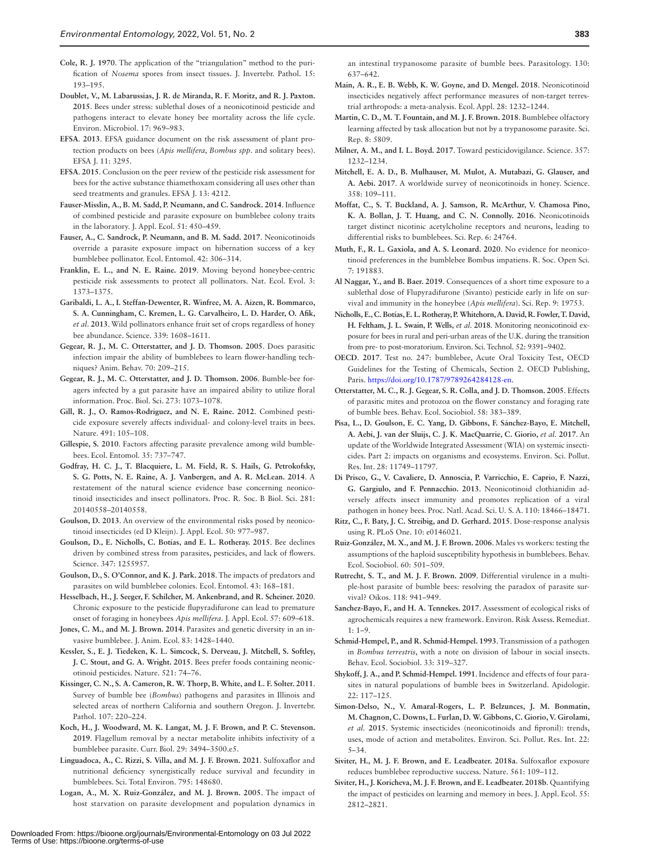- <span id="page-6-31"></span><span id="page-6-12"></span>**Doublet, V., M. Labarussias, J. R. de Miranda, R. F. Moritz, and R. J. Paxton. 2015**. Bees under stress: sublethal doses of a neonicotinoid pesticide and pathogens interact to elevate honey bee mortality across the life cycle. Environ. Microbiol. 17: 969–983.
- <span id="page-6-25"></span>**EFSA**. **2013**. EFSA guidance document on the risk assessment of plant protection products on bees (*Apis mellifera*, *Bombus spp*. and solitary bees). EFSA J. 11: 3295.
- <span id="page-6-29"></span>**EFSA**. **2015**. Conclusion on the peer review of the pesticide risk assessment for bees for the active substance thiamethoxam considering all uses other than seed treatments and granules. EFSA J. 13: 4212.
- <span id="page-6-15"></span>**Fauser-Misslin, A., B. M. Sadd, P. Neumann, and C. Sandrock. 2014**. Influence of combined pesticide and parasite exposure on bumblebee colony traits in the laboratory. J. Appl. Ecol. 51: 450–459.
- <span id="page-6-24"></span>**Fauser, A., C. Sandrock, P. Neumann, and B. M. Sadd. 2017**. Neonicotinoids override a parasite exposure impact on hibernation success of a key bumblebee pollinator. Ecol. Entomol. 42: 306–314.
- <span id="page-6-28"></span>**Franklin, E. L., and N. E. Raine. 2019**. Moving beyond honeybee-centric pesticide risk assessments to protect all pollinators. Nat. Ecol. Evol. 3: 1373–1375.
- <span id="page-6-9"></span>**Garibaldi, L. A., I. Steffan-Dewenter, R. Winfree, M. A. Aizen, R. Bommarco, S. A. Cunningham, C. Kremen, L. G. Carvalheiro, L. D. Harder, O. Afik,**  *et al*. **2013**. Wild pollinators enhance fruit set of crops regardless of honey bee abundance. Science. 339: 1608–1611.
- <span id="page-6-20"></span>**Gegear, R. J., M. C. Otterstatter, and J. D. Thomson. 2005**. Does parasitic infection impair the ability of bumblebees to learn flower-handling techniques? Anim. Behav. 70: 209–215.
- <span id="page-6-21"></span>**Gegear, R. J., M. C. Otterstatter, and J. D. Thomson. 2006**. Bumble-bee foragers infected by a gut parasite have an impaired ability to utilize floral information. Proc. Biol. Sci. 273: 1073–1078.
- <span id="page-6-38"></span>**Gill, R. J., O. Ramos-Rodriguez, and N. E. Raine. 2012**. Combined pesticide exposure severely affects individual- and colony-level traits in bees. Nature. 491: 105–108.
- <span id="page-6-17"></span>**Gillespie, S. 2010**. Factors affecting parasite prevalence among wild bumblebees. Ecol. Entomol. 35: 737–747.
- <span id="page-6-4"></span>**Godfray, H. C. J., T. Blacquiere, L. M. Field, R. S. Hails, G. Petrokofsky, S. G. Potts, N. E. Raine, A. J. Vanbergen, and A. R. McLean. 2014**. A restatement of the natural science evidence base concerning neonicotinoid insecticides and insect pollinators. Proc. R. Soc. B Biol. Sci. 281: 20140558–20140558.
- <span id="page-6-2"></span>**Goulson, D. 2013**. An overview of the environmental risks posed by neonicotinoid insecticides (ed D Kleijn). J. Appl. Ecol. 50: 977–987.
- <span id="page-6-5"></span>**Goulson, D., E. Nicholls, C. Botías, and E. L. Rotheray. 2015**. Bee declines driven by combined stress from parasites, pesticides, and lack of flowers. Science. 347: 1255957.
- <span id="page-6-10"></span>**Goulson, D., S. O'Connor, and K. J. Park. 2018**. The impacts of predators and parasites on wild bumblebee colonies. Ecol. Entomol. 43: 168–181.
- <span id="page-6-42"></span>**Hesselbach, H., J. Seeger, F. Schilcher, M. Ankenbrand, and R. Scheiner. 2020**. Chronic exposure to the pesticide flupyradifurone can lead to premature onset of foraging in honeybees *Apis mellifera*. J. Appl. Ecol. 57: 609–618.
- <span id="page-6-19"></span>**Jones, C. M., and M. J. Brown. 2014**. Parasites and genetic diversity in an invasive bumblebee. J. Anim. Ecol. 83: 1428–1440.
- <span id="page-6-36"></span>**Kessler, S., E. J. Tiedeken, K. L. Simcock, S. Derveau, J. Mitchell, S. Softley, J. C. Stout, and G. A. Wright. 2015**. Bees prefer foods containing neonicotinoid pesticides. Nature. 521: 74–76.
- <span id="page-6-18"></span>**Kissinger, C. N., S. A. Cameron, R. W. Thorp, B. White, and L. F. Solter. 2011**. Survey of bumble bee (*Bombus*) pathogens and parasites in Illinois and selected areas of northern California and southern Oregon. J. Invertebr. Pathol. 107: 220–224.
- <span id="page-6-39"></span>**Koch, H., J. Woodward, M. K. Langat, M. J. F. Brown, and P. C. Stevenson. 2019**. Flagellum removal by a nectar metabolite inhibits infectivity of a bumblebee parasite. Curr. Biol. 29: 3494–3500.e5.
- <span id="page-6-13"></span>**Linguadoca, A., C. Rizzi, S. Villa, and M. J. F. Brown. 2021**. Sulfoxaflor and nutritional deficiency synergistically reduce survival and fecundity in bumblebees. Sci. Total Environ. 795: 148680.
- <span id="page-6-32"></span>**Logan, A., M. X. Ruiz-González, and M. J. Brown. 2005**. The impact of host starvation on parasite development and population dynamics in

an intestinal trypanosome parasite of bumble bees. Parasitology. 130: 637–642.

- <span id="page-6-7"></span>**Main, A. R., E. B. Webb, K. W. Goyne, and D. Mengel. 2018**. Neonicotinoid insecticides negatively affect performance measures of non-target terrestrial arthropods: a meta-analysis. Ecol. Appl. 28: 1232–1244.
- <span id="page-6-23"></span>**Martin, C. D., M. T. Fountain, and M. J. F. Brown. 2018**. Bumblebee olfactory learning affected by task allocation but not by a trypanosome parasite. Sci. Rep. 8: 5809.
- <span id="page-6-43"></span>**Milner, A. M., and I. L. Boyd. 2017**. Toward pesticidovigilance. Science. 357: 1232–1234.
- <span id="page-6-3"></span>**Mitchell, E. A. D., B. Mulhauser, M. Mulot, A. Mutabazi, G. Glauser, and A. Aebi. 2017**. A worldwide survey of neonicotinoids in honey. Science. 358: 109–111.
- <span id="page-6-1"></span>**Moffat, C., S. T. Buckland, A. J. Samson, R. McArthur, V. Chamosa Pino, K. A. Bollan, J. T. Huang, and C. N. Connolly. 2016**. Neonicotinoids target distinct nicotinic acetylcholine receptors and neurons, leading to differential risks to bumblebees. Sci. Rep. 6: 24764.
- <span id="page-6-37"></span>**Muth, F., R. L. Gaxiola, and A. S. Leonard. 2020**. No evidence for neonicotinoid preferences in the bumblebee Bombus impatiens. R. Soc. Open Sci. 7: 191883.
- <span id="page-6-41"></span>**Al Naggar, Y., and B. Baer. 2019**. Consequences of a short time exposure to a sublethal dose of Flupyradifurone (Sivanto) pesticide early in life on survival and immunity in the honeybee (*Apis mellifera*). Sci. Rep. 9: 19753.
- <span id="page-6-11"></span>**Nicholls, E., C. Botías, E. L. Rotheray, P. Whitehorn, A. David, R. Fowler, T. David, H. Feltham, J. L. Swain, P. Wells,** *et al*. **2018**. Monitoring neonicotinoid exposure for bees in rural and peri-urban areas of the U.K. during the transition from pre- to post-moratorium. Environ. Sci. Technol. 52: 9391–9402.
- <span id="page-6-26"></span>**OECD**. **2017**. Test no. 247: bumblebee, Acute Oral Toxicity Test, OECD Guidelines for the Testing of Chemicals, Section 2. OECD Publishing, Paris. [https://doi.org/10.1787/9789264284128-en](https://doi.org/10.1787/9789264284128-en﻿).
- <span id="page-6-22"></span>**Otterstatter, M. C., R. J. Gegear, S. R. Colla, and J. D. Thomson. 2005**. Effects of parasitic mites and protozoa on the flower constancy and foraging rate of bumble bees. Behav. Ecol. Sociobiol. 58: 383–389.
- <span id="page-6-6"></span>**Pisa, L., D. Goulson, E. C. Yang, D. Gibbons, F. Sánchez-Bayo, E. Mitchell, A. Aebi, J. van der Sluijs, C. J. K. MacQuarrie, C. Giorio,** *et al.* **2017**. An update of the Worldwide Integrated Assessment (WIA) on systemic insecticides. Part 2: impacts on organisms and ecosystems. Environ. Sci. Pollut. Res. Int. 28: 11749–11797.
- <span id="page-6-14"></span>**Di Prisco, G., V. Cavaliere, D. Annoscia, P. Varricchio, E. Caprio, F. Nazzi, G. Gargiulo, and F. Pennacchio. 2013**. Neonicotinoid clothianidin adversely affects insect immunity and promotes replication of a viral pathogen in honey bees. Proc. Natl. Acad. Sci. U. S. A. 110: 18466–18471.
- <span id="page-6-35"></span>**Ritz, C., F. Baty, J. C. Streibig, and D. Gerhard. 2015**. Dose-response analysis using R. PLoS One. 10: e0146021.
- <span id="page-6-33"></span>**Ruiz-González, M. X., and M. J. F. Brown. 2006**. Males vs workers: testing the assumptions of the haploid susceptibility hypothesis in bumblebees. Behav. Ecol. Sociobiol. 60: 501–509.
- <span id="page-6-30"></span>**Rutrecht, S. T., and M. J. F. Brown. 2009**. Differential virulence in a multiple-host parasite of bumble bees: resolving the paradox of parasite survival? Oikos. 118: 941–949.
- <span id="page-6-27"></span>**Sanchez-Bayo, F., and H. A. Tennekes. 2017**. Assessment of ecological risks of agrochemicals requires a new framework. Environ. Risk Assess. Remediat. 1: 1–9.
- <span id="page-6-34"></span>**Schmid-Hempel, P., and R. Schmid-Hempel. 1993**. Transmission of a pathogen in *Bombus terrestris*, with a note on division of labour in social insects. Behav. Ecol. Sociobiol. 33: 319–327.
- <span id="page-6-16"></span>**Shykoff, J. A., and P. Schmid-Hempel. 1991**. Incidence and effects of four parasites in natural populations of bumble bees in Switzerland. Apidologie. 22: 117–125.
- <span id="page-6-0"></span>**Simon-Delso, N., V. Amaral-Rogers, L. P. Belzunces, J. M. Bonmatin, M. Chagnon, C. Downs, L. Furlan, D. W. Gibbons, C. Giorio, V. Girolami,**  *et al.* **2015**. Systemic insecticides (neonicotinoids and fipronil): trends, uses, mode of action and metabolites. Environ. Sci. Pollut. Res. Int. 22: 5–34.
- <span id="page-6-40"></span>**Siviter, H., M. J. F. Brown, and E. Leadbeater. 2018a**. Sulfoxaflor exposure reduces bumblebee reproductive success. Nature. 561: 109–112.
- <span id="page-6-8"></span>**Siviter, H., J. Koricheva, M. J. F. Brown, and E. Leadbeater. 2018b**. Quantifying the impact of pesticides on learning and memory in bees. J. Appl. Ecol. 55: 2812–2821.